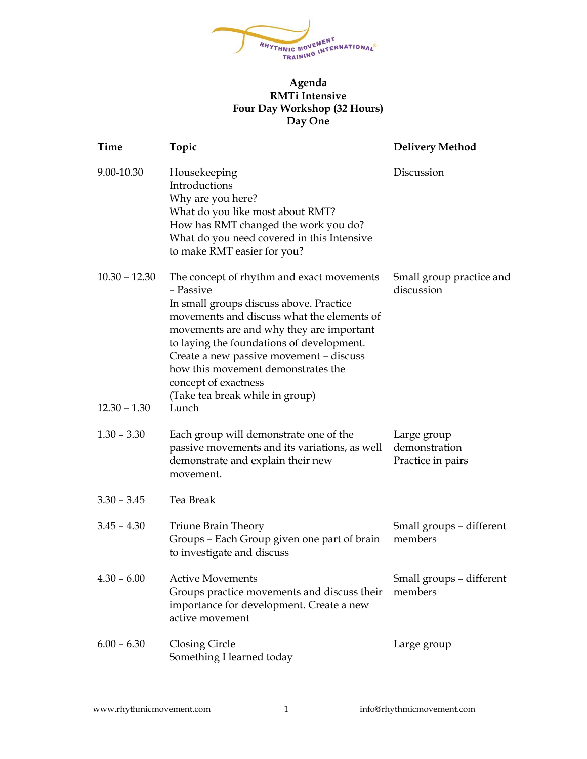

## **Agenda RMTi Intensive Four Day Workshop (32 Hours) Day One**

| Time            | Topic                                                                                                                                                                                                                                                                                                                                                                                | <b>Delivery Method</b>                            |
|-----------------|--------------------------------------------------------------------------------------------------------------------------------------------------------------------------------------------------------------------------------------------------------------------------------------------------------------------------------------------------------------------------------------|---------------------------------------------------|
| 9.00-10.30      | Housekeeping<br>Introductions<br>Why are you here?<br>What do you like most about RMT?<br>How has RMT changed the work you do?<br>What do you need covered in this Intensive<br>to make RMT easier for you?                                                                                                                                                                          | Discussion                                        |
| $10.30 - 12.30$ | The concept of rhythm and exact movements<br>- Passive<br>In small groups discuss above. Practice<br>movements and discuss what the elements of<br>movements are and why they are important<br>to laying the foundations of development.<br>Create a new passive movement - discuss<br>how this movement demonstrates the<br>concept of exactness<br>(Take tea break while in group) | Small group practice and<br>discussion            |
| $12.30 - 1.30$  | Lunch                                                                                                                                                                                                                                                                                                                                                                                |                                                   |
| $1.30 - 3.30$   | Each group will demonstrate one of the<br>passive movements and its variations, as well<br>demonstrate and explain their new<br>movement.                                                                                                                                                                                                                                            | Large group<br>demonstration<br>Practice in pairs |
| $3.30 - 3.45$   | Tea Break                                                                                                                                                                                                                                                                                                                                                                            |                                                   |
| $3.45 - 4.30$   | Triune Brain Theory<br>Groups - Each Group given one part of brain<br>to investigate and discuss                                                                                                                                                                                                                                                                                     | Small groups - different<br>members               |
| $4.30 - 6.00$   | <b>Active Movements</b><br>Groups practice movements and discuss their<br>importance for development. Create a new<br>active movement                                                                                                                                                                                                                                                | Small groups - different<br>members               |
| $6.00 - 6.30$   | Closing Circle<br>Something I learned today                                                                                                                                                                                                                                                                                                                                          | Large group                                       |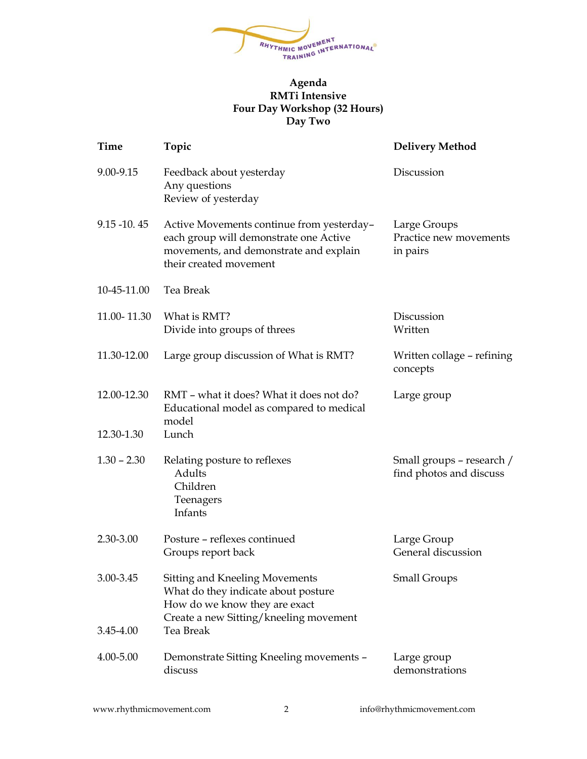

## **Agenda RMTi Intensive Four Day Workshop (32 Hours) Day Two**

| Time                   | Topic                                                                                                                                                         | <b>Delivery Method</b>                               |
|------------------------|---------------------------------------------------------------------------------------------------------------------------------------------------------------|------------------------------------------------------|
| 9.00-9.15              | Feedback about yesterday<br>Any questions<br>Review of yesterday                                                                                              | Discussion                                           |
| $9.15 - 10.45$         | Active Movements continue from yesterday-<br>each group will demonstrate one Active<br>movements, and demonstrate and explain<br>their created movement       | Large Groups<br>Practice new movements<br>in pairs   |
| 10-45-11.00            | Tea Break                                                                                                                                                     |                                                      |
| 11.00-11.30            | What is RMT?<br>Divide into groups of threes                                                                                                                  | Discussion<br>Written                                |
| 11.30-12.00            | Large group discussion of What is RMT?                                                                                                                        | Written collage – refining<br>concepts               |
| 12.00-12.30            | RMT - what it does? What it does not do?<br>Educational model as compared to medical<br>model                                                                 | Large group                                          |
| 12.30-1.30             | Lunch                                                                                                                                                         |                                                      |
| $1.30 - 2.30$          | Relating posture to reflexes<br>Adults<br>Children<br>Teenagers<br>Infants                                                                                    | Small groups – research /<br>find photos and discuss |
| 2.30-3.00              | Posture - reflexes continued<br>Groups report back                                                                                                            | Large Group<br>General discussion                    |
| 3.00-3.45<br>3.45-4.00 | Sitting and Kneeling Movements<br>What do they indicate about posture<br>How do we know they are exact<br>Create a new Sitting/kneeling movement<br>Tea Break | <b>Small Groups</b>                                  |
| 4.00-5.00              | Demonstrate Sitting Kneeling movements -<br>discuss                                                                                                           | Large group<br>demonstrations                        |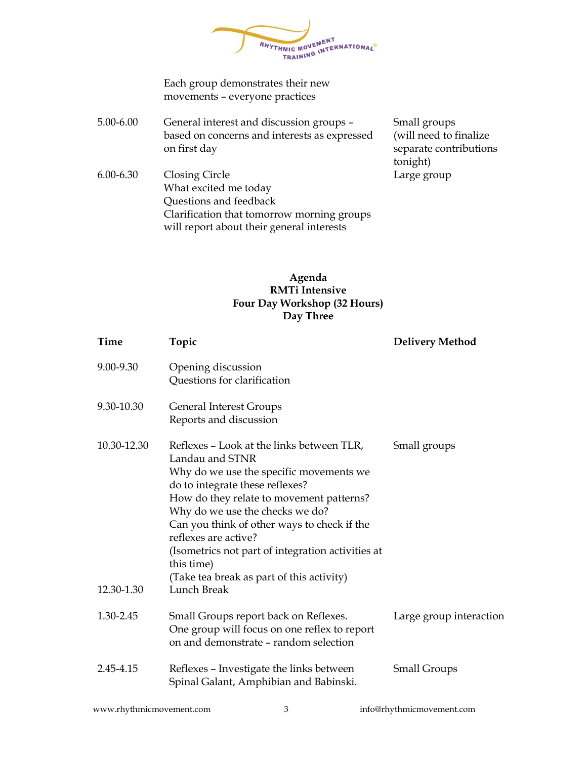RHYTHMIC MOVEMENT **HMIC MOVEMENT<br>TRAINING INTERNATIONAL®** 

Each group demonstrates their new movements – everyone practices

5.00-6.00 General interest and discussion groups – based on concerns and interests as expressed on first day

Small groups (will need to finalize separate contributions tonight) Large group

6.00-6.30 Closing Circle What excited me today Questions and feedback Clarification that tomorrow morning groups will report about their general interests

## **Agenda RMTi Intensive Four Day Workshop (32 Hours) Day Three**

| <b>Time</b> | Topic                                                                                                                                                                                                                                                                                                                                                                                                            | <b>Delivery Method</b>  |
|-------------|------------------------------------------------------------------------------------------------------------------------------------------------------------------------------------------------------------------------------------------------------------------------------------------------------------------------------------------------------------------------------------------------------------------|-------------------------|
| 9.00-9.30   | Opening discussion<br>Questions for clarification                                                                                                                                                                                                                                                                                                                                                                |                         |
| 9.30-10.30  | <b>General Interest Groups</b><br>Reports and discussion                                                                                                                                                                                                                                                                                                                                                         |                         |
| 10.30-12.30 | Reflexes - Look at the links between TLR,<br>Landau and STNR<br>Why do we use the specific movements we<br>do to integrate these reflexes?<br>How do they relate to movement patterns?<br>Why do we use the checks we do?<br>Can you think of other ways to check if the<br>reflexes are active?<br>(Isometrics not part of integration activities at<br>this time)<br>(Take tea break as part of this activity) | Small groups            |
| 12.30-1.30  | Lunch Break                                                                                                                                                                                                                                                                                                                                                                                                      |                         |
| 1.30-2.45   | Small Groups report back on Reflexes.<br>One group will focus on one reflex to report<br>on and demonstrate - random selection                                                                                                                                                                                                                                                                                   | Large group interaction |
| 2.45-4.15   | Reflexes - Investigate the links between<br>Spinal Galant, Amphibian and Babinski.                                                                                                                                                                                                                                                                                                                               | <b>Small Groups</b>     |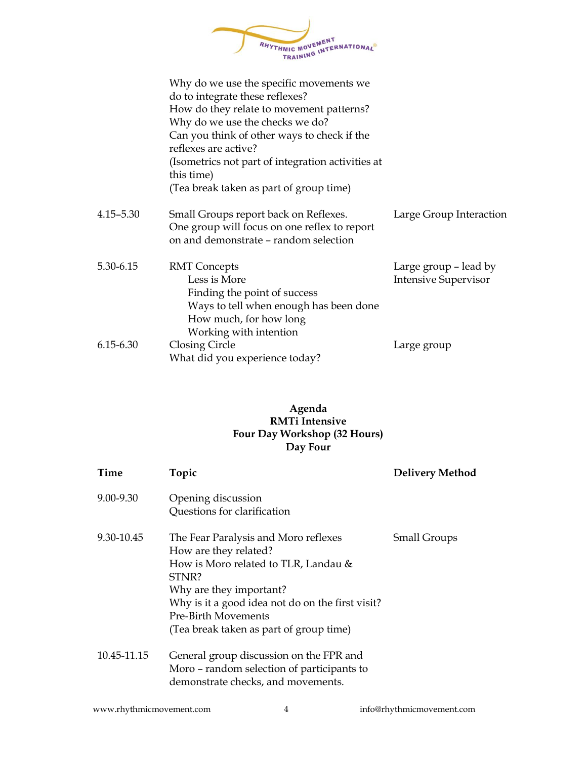

|               | Why do we use the specific movements we<br>do to integrate these reflexes?<br>How do they relate to movement patterns?<br>Why do we use the checks we do?<br>Can you think of other ways to check if the<br>reflexes are active?<br>(Isometrics not part of integration activities at<br>this time)<br>(Tea break taken as part of group time) |                                                      |
|---------------|------------------------------------------------------------------------------------------------------------------------------------------------------------------------------------------------------------------------------------------------------------------------------------------------------------------------------------------------|------------------------------------------------------|
| $4.15 - 5.30$ | Small Groups report back on Reflexes.<br>One group will focus on one reflex to report<br>on and demonstrate - random selection                                                                                                                                                                                                                 | Large Group Interaction                              |
| 5.30-6.15     | <b>RMT</b> Concepts<br>Less is More<br>Finding the point of success<br>Ways to tell when enough has been done<br>How much, for how long<br>Working with intention                                                                                                                                                                              | Large group – lead by<br><b>Intensive Supervisor</b> |
| 6.15-6.30     | <b>Closing Circle</b><br>What did you experience today?                                                                                                                                                                                                                                                                                        | Large group                                          |

## **Agenda RMTi Intensive Four Day Workshop (32 Hours) Day Four**

| <b>Time</b> | Topic                                            | <b>Delivery Method</b> |
|-------------|--------------------------------------------------|------------------------|
| 9.00-9.30   | Opening discussion                               |                        |
|             | Questions for clarification                      |                        |
| 9.30-10.45  | The Fear Paralysis and Moro reflexes             | <b>Small Groups</b>    |
|             | How are they related?                            |                        |
|             | How is Moro related to TLR, Landau &             |                        |
|             | STNR?                                            |                        |
|             | Why are they important?                          |                        |
|             | Why is it a good idea not do on the first visit? |                        |
|             | <b>Pre-Birth Movements</b>                       |                        |
|             | (Tea break taken as part of group time)          |                        |
| 10.45-11.15 | General group discussion on the FPR and          |                        |
|             | Moro - random selection of participants to       |                        |
|             | demonstrate checks, and movements.               |                        |